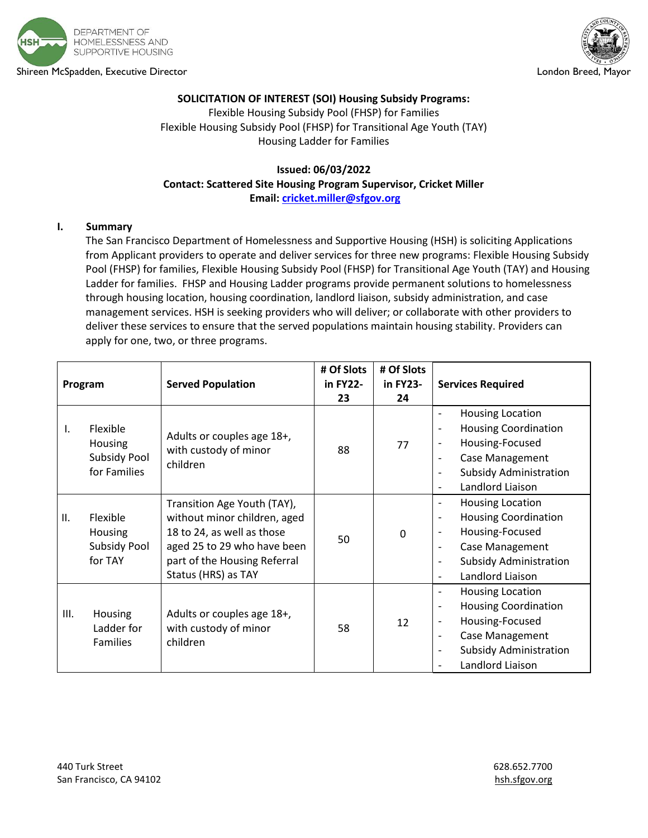

Shireen McSpadden, Executive Director London Breed, Mayor



# **SOLICITATION OF INTEREST (SOI) Housing Subsidy Programs:**

Flexible Housing Subsidy Pool (FHSP) for Families Flexible Housing Subsidy Pool (FHSP) for Transitional Age Youth (TAY) Housing Ladder for Families

### **Issued: 06/03/2022 Contact: Scattered Site Housing Program Supervisor, Cricket Miller Email[: cricket.miller@sfgov.org](mailto:cricket.miller@sfgov.org)**

### **I. Summary**

The San Francisco Department of Homelessness and Supportive Housing (HSH) is soliciting Applications from Applicant providers to operate and deliver services for three new programs: Flexible Housing Subsidy Pool (FHSP) for families, Flexible Housing Subsidy Pool (FHSP) for Transitional Age Youth (TAY) and Housing Ladder for families. FHSP and Housing Ladder programs provide permanent solutions to homelessness through housing location, housing coordination, landlord liaison, subsidy administration, and case management services. HSH is seeking providers who will deliver; or collaborate with other providers to deliver these services to ensure that the served populations maintain housing stability. Providers can apply for one, two, or three programs.

| Program      |                                                                   | <b>Served Population</b>                                                                                                                                                        | # Of Slots<br>in FY22-<br>23 | # Of Slots<br>in FY23-<br>24 | <b>Services Required</b>                                                                                                                                                                                                                                                           |
|--------------|-------------------------------------------------------------------|---------------------------------------------------------------------------------------------------------------------------------------------------------------------------------|------------------------------|------------------------------|------------------------------------------------------------------------------------------------------------------------------------------------------------------------------------------------------------------------------------------------------------------------------------|
| $\mathsf{L}$ | Flexible<br><b>Housing</b><br><b>Subsidy Pool</b><br>for Families | Adults or couples age 18+,<br>with custody of minor<br>children                                                                                                                 | 88                           | 77                           | <b>Housing Location</b><br>$\qquad \qquad \blacksquare$<br><b>Housing Coordination</b><br>$\overline{\phantom{a}}$<br>Housing-Focused<br>$\qquad \qquad \blacksquare$<br>Case Management<br>$\qquad \qquad \blacksquare$<br><b>Subsidy Administration</b><br>Landlord Liaison<br>۰ |
| II.          | Flexible<br><b>Housing</b><br>Subsidy Pool<br>for TAY             | Transition Age Youth (TAY),<br>without minor children, aged<br>18 to 24, as well as those<br>aged 25 to 29 who have been<br>part of the Housing Referral<br>Status (HRS) as TAY | 50                           | $\mathbf 0$                  | <b>Housing Location</b><br>$\overline{\phantom{0}}$<br><b>Housing Coordination</b><br>÷,<br>Housing-Focused<br>$\qquad \qquad$<br>Case Management<br>$\overline{a}$<br><b>Subsidy Administration</b><br>$\qquad \qquad \blacksquare$<br>Landlord Liaison                           |
| III.         | <b>Housing</b><br>Ladder for<br><b>Families</b>                   | Adults or couples age 18+,<br>with custody of minor<br>children                                                                                                                 | 58                           | 12                           | <b>Housing Location</b><br>$\qquad \qquad \blacksquare$<br><b>Housing Coordination</b><br>$\overline{\phantom{a}}$<br>Housing-Focused<br>$\qquad \qquad \blacksquare$<br>Case Management<br>$\qquad \qquad \blacksquare$<br><b>Subsidy Administration</b><br>٠<br>Landlord Liaison |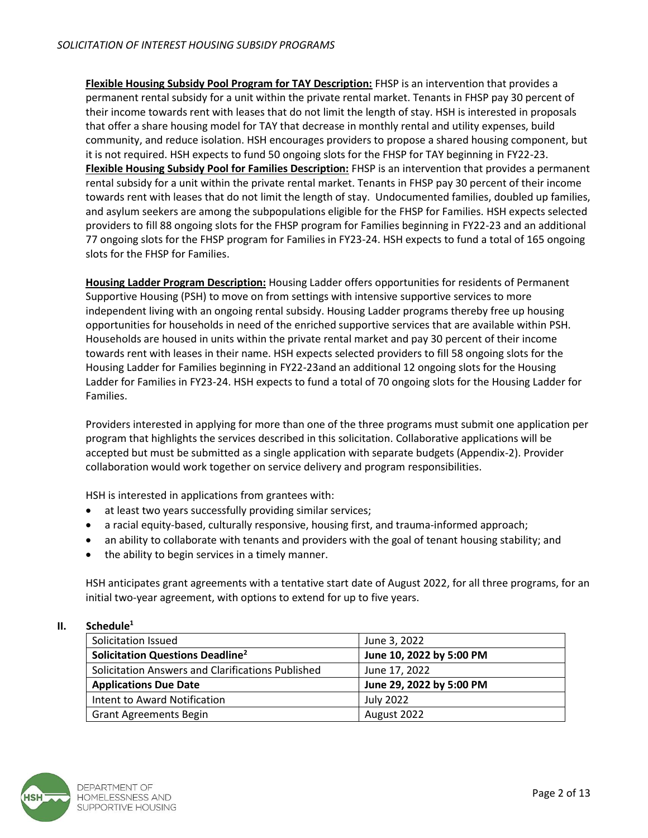**Flexible Housing Subsidy Pool Program for TAY Description:** FHSP is an intervention that provides a permanent rental subsidy for a unit within the private rental market. Tenants in FHSP pay 30 percent of their income towards rent with leases that do not limit the length of stay. HSH is interested in proposals that offer a share housing model for TAY that decrease in monthly rental and utility expenses, build community, and reduce isolation. HSH encourages providers to propose a shared housing component, but it is not required. HSH expects to fund 50 ongoing slots for the FHSP for TAY beginning in FY22-23. **Flexible Housing Subsidy Pool for Families Description:** FHSP is an intervention that provides a permanent rental subsidy for a unit within the private rental market. Tenants in FHSP pay 30 percent of their income towards rent with leases that do not limit the length of stay. Undocumented families, doubled up families, and asylum seekers are among the subpopulations eligible for the FHSP for Families. HSH expects selected providers to fill 88 ongoing slots for the FHSP program for Families beginning in FY22-23 and an additional 77 ongoing slots for the FHSP program for Families in FY23-24. HSH expects to fund a total of 165 ongoing slots for the FHSP for Families.

**Housing Ladder Program Description:** Housing Ladder offers opportunities for residents of Permanent Supportive Housing (PSH) to move on from settings with intensive supportive services to more independent living with an ongoing rental subsidy. Housing Ladder programs thereby free up housing opportunities for households in need of the enriched supportive services that are available within PSH. Households are housed in units within the private rental market and pay 30 percent of their income towards rent with leases in their name. HSH expects selected providers to fill 58 ongoing slots for the Housing Ladder for Families beginning in FY22-23and an additional 12 ongoing slots for the Housing Ladder for Families in FY23-24. HSH expects to fund a total of 70 ongoing slots for the Housing Ladder for Families.

Providers interested in applying for more than one of the three programs must submit one application per program that highlights the services described in this solicitation. Collaborative applications will be accepted but must be submitted as a single application with separate budgets (Appendix-2). Provider collaboration would work together on service delivery and program responsibilities.

HSH is interested in applications from grantees with:

- at least two years successfully providing similar services;
- a racial equity-based, culturally responsive, housing first, and trauma-informed approach;
- an ability to collaborate with tenants and providers with the goal of tenant housing stability; and
- the ability to begin services in a timely manner.

HSH anticipates grant agreements with a tentative start date of August 2022, for all three programs, for an initial two-year agreement, with options to extend for up to five years.

### **II. Schedule<sup>1</sup>**

| Solicitation Issued                                | June 3, 2022             |
|----------------------------------------------------|--------------------------|
| <b>Solicitation Questions Deadline<sup>2</sup></b> | June 10, 2022 by 5:00 PM |
| Solicitation Answers and Clarifications Published  | June 17, 2022            |
| <b>Applications Due Date</b>                       | June 29, 2022 by 5:00 PM |
| Intent to Award Notification                       | July 2022                |
| <b>Grant Agreements Begin</b>                      | August 2022              |

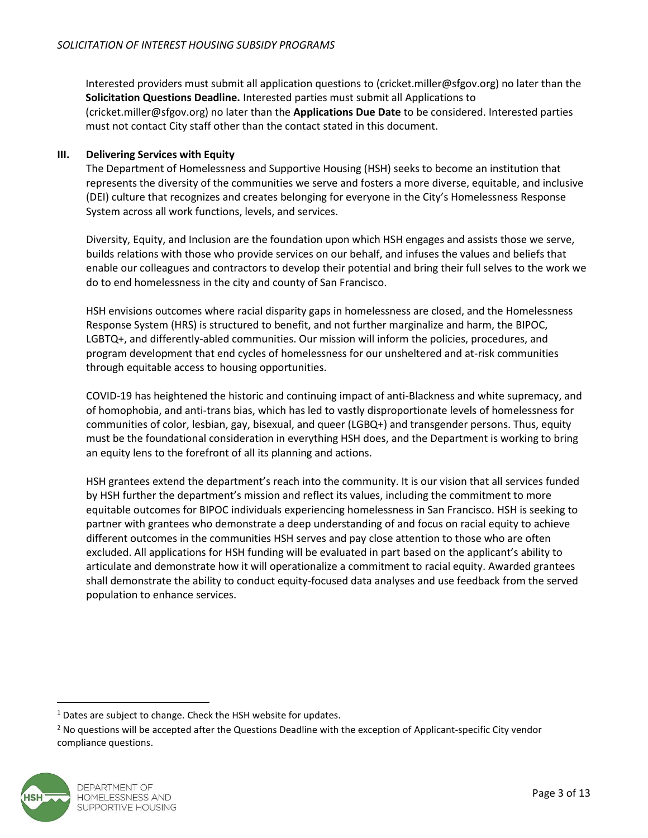Interested providers must submit all application questions to (cricket.miller@sfgov.org) no later than the **Solicitation Questions Deadline.** Interested parties must submit all Applications to (cricket.miller@sfgov.org) no later than the **Applications Due Date** to be considered. Interested parties must not contact City staff other than the contact stated in this document.

# **III. Delivering Services with Equity**

The Department of Homelessness and Supportive Housing (HSH) seeks to become an institution that represents the diversity of the communities we serve and fosters a more diverse, equitable, and inclusive (DEI) culture that recognizes and creates belonging for everyone in the City's Homelessness Response System across all work functions, levels, and services.

Diversity, Equity, and Inclusion are the foundation upon which HSH engages and assists those we serve, builds relations with those who provide services on our behalf, and infuses the values and beliefs that enable our colleagues and contractors to develop their potential and bring their full selves to the work we do to end homelessness in the city and county of San Francisco.

HSH envisions outcomes where racial disparity gaps in homelessness are closed, and the Homelessness Response System (HRS) is structured to benefit, and not further marginalize and harm, the BIPOC, LGBTQ+, and differently-abled communities. Our mission will inform the policies, procedures, and program development that end cycles of homelessness for our unsheltered and at-risk communities through equitable access to housing opportunities.

COVID-19 has heightened the historic and continuing impact of anti-Blackness and white supremacy, and of homophobia, and anti-trans bias, which has led to vastly disproportionate levels of homelessness for communities of color, lesbian, gay, bisexual, and queer (LGBQ+) and transgender persons. Thus, equity must be the foundational consideration in everything HSH does, and the Department is working to bring an equity lens to the forefront of all its planning and actions.

HSH grantees extend the department's reach into the community. It is our vision that all services funded by HSH further the department's mission and reflect its values, including the commitment to more equitable outcomes for BIPOC individuals experiencing homelessness in San Francisco. HSH is seeking to partner with grantees who demonstrate a deep understanding of and focus on racial equity to achieve different outcomes in the communities HSH serves and pay close attention to those who are often excluded. All applications for HSH funding will be evaluated in part based on the applicant's ability to articulate and demonstrate how it will operationalize a commitment to racial equity. Awarded grantees shall demonstrate the ability to conduct equity-focused data analyses and use feedback from the served population to enhance services.

<sup>&</sup>lt;sup>2</sup> No questions will be accepted after the Questions Deadline with the exception of Applicant-specific City vendor compliance questions.



<sup>&</sup>lt;sup>1</sup> Dates are subject to change. Check the HSH website for updates.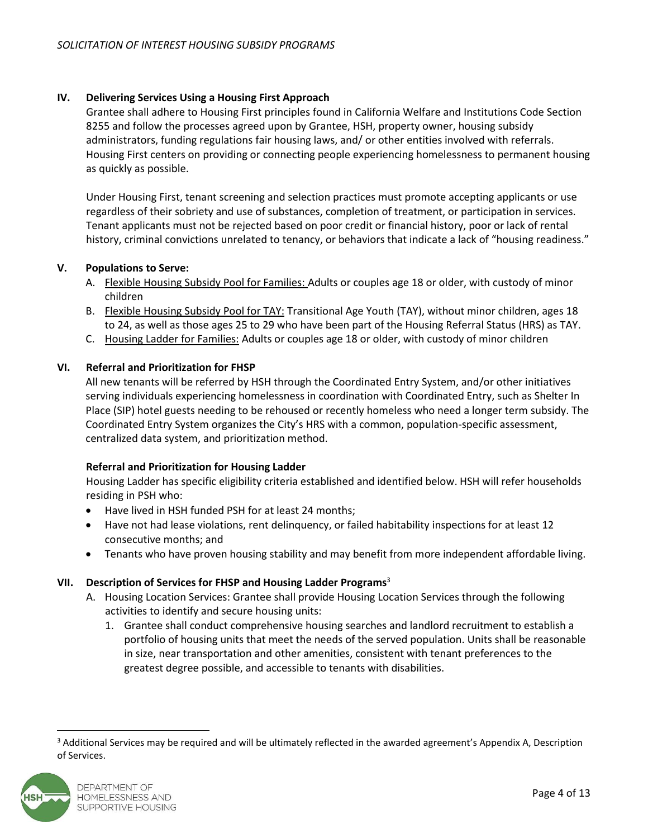### **IV. Delivering Services Using a Housing First Approach**

Grantee shall adhere to Housing First principles found in California Welfare and Institutions Code Section 8255 and follow the processes agreed upon by Grantee, HSH, property owner, housing subsidy administrators, funding regulations fair housing laws, and/ or other entities involved with referrals. Housing First centers on providing or connecting people experiencing homelessness to permanent housing as quickly as possible.

Under Housing First, tenant screening and selection practices must promote accepting applicants or use regardless of their sobriety and use of substances, completion of treatment, or participation in services. Tenant applicants must not be rejected based on poor credit or financial history, poor or lack of rental history, criminal convictions unrelated to tenancy, or behaviors that indicate a lack of "housing readiness."

### **V. Populations to Serve:**

- A. Flexible Housing Subsidy Pool for Families: Adults or couples age 18 or older, with custody of minor children
- B. Flexible Housing Subsidy Pool for TAY: Transitional Age Youth (TAY), without minor children, ages 18 to 24, as well as those ages 25 to 29 who have been part of the Housing Referral Status (HRS) as TAY.
- C. Housing Ladder for Families: Adults or couples age 18 or older, with custody of minor children

# **VI. Referral and Prioritization for FHSP**

All new tenants will be referred by HSH through the Coordinated Entry System, and/or other initiatives serving individuals experiencing homelessness in coordination with Coordinated Entry, such as Shelter In Place (SIP) hotel guests needing to be rehoused or recently homeless who need a longer term subsidy. The Coordinated Entry System organizes the City's HRS with a common, population-specific assessment, centralized data system, and prioritization method.

### **Referral and Prioritization for Housing Ladder**

Housing Ladder has specific eligibility criteria established and identified below. HSH will refer households residing in PSH who:

- Have lived in HSH funded PSH for at least 24 months;
- Have not had lease violations, rent delinquency, or failed habitability inspections for at least 12 consecutive months; and
- Tenants who have proven housing stability and may benefit from more independent affordable living.

# **VII. Description of Services for FHSP and Housing Ladder Programs**<sup>3</sup>

- A. Housing Location Services: Grantee shall provide Housing Location Services through the following activities to identify and secure housing units:
	- 1. Grantee shall conduct comprehensive housing searches and landlord recruitment to establish a portfolio of housing units that meet the needs of the served population. Units shall be reasonable in size, near transportation and other amenities, consistent with tenant preferences to the greatest degree possible, and accessible to tenants with disabilities.

<sup>&</sup>lt;sup>3</sup> Additional Services may be required and will be ultimately reflected in the awarded agreement's Appendix A, Description of Services.

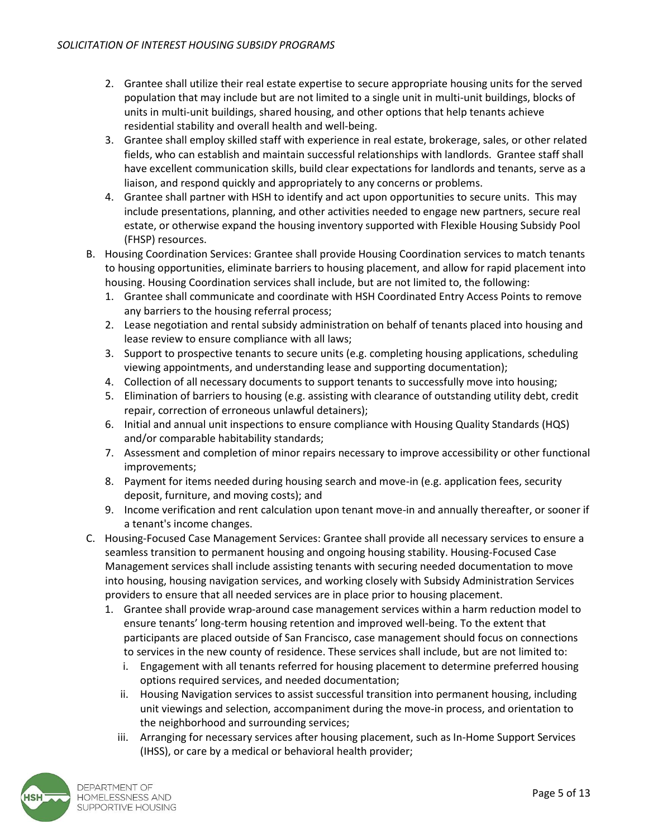- 2. Grantee shall utilize their real estate expertise to secure appropriate housing units for the served population that may include but are not limited to a single unit in multi-unit buildings, blocks of units in multi-unit buildings, shared housing, and other options that help tenants achieve residential stability and overall health and well-being.
- 3. Grantee shall employ skilled staff with experience in real estate, brokerage, sales, or other related fields, who can establish and maintain successful relationships with landlords. Grantee staff shall have excellent communication skills, build clear expectations for landlords and tenants, serve as a liaison, and respond quickly and appropriately to any concerns or problems.
- 4. Grantee shall partner with HSH to identify and act upon opportunities to secure units. This may include presentations, planning, and other activities needed to engage new partners, secure real estate, or otherwise expand the housing inventory supported with Flexible Housing Subsidy Pool (FHSP) resources.
- B. Housing Coordination Services: Grantee shall provide Housing Coordination services to match tenants to housing opportunities, eliminate barriers to housing placement, and allow for rapid placement into housing. Housing Coordination services shall include, but are not limited to, the following:
	- 1. Grantee shall communicate and coordinate with HSH Coordinated Entry Access Points to remove any barriers to the housing referral process;
	- 2. Lease negotiation and rental subsidy administration on behalf of tenants placed into housing and lease review to ensure compliance with all laws;
	- 3. Support to prospective tenants to secure units (e.g. completing housing applications, scheduling viewing appointments, and understanding lease and supporting documentation);
	- 4. Collection of all necessary documents to support tenants to successfully move into housing;
	- 5. Elimination of barriers to housing (e.g. assisting with clearance of outstanding utility debt, credit repair, correction of erroneous unlawful detainers);
	- 6. Initial and annual unit inspections to ensure compliance with Housing Quality Standards (HQS) and/or comparable habitability standards;
	- 7. Assessment and completion of minor repairs necessary to improve accessibility or other functional improvements;
	- 8. Payment for items needed during housing search and move-in (e.g. application fees, security deposit, furniture, and moving costs); and
	- 9. Income verification and rent calculation upon tenant move-in and annually thereafter, or sooner if a tenant's income changes.
- C. Housing-Focused Case Management Services: Grantee shall provide all necessary services to ensure a seamless transition to permanent housing and ongoing housing stability. Housing-Focused Case Management services shall include assisting tenants with securing needed documentation to move into housing, housing navigation services, and working closely with Subsidy Administration Services providers to ensure that all needed services are in place prior to housing placement.
	- 1. Grantee shall provide wrap-around case management services within a harm reduction model to ensure tenants' long-term housing retention and improved well-being. To the extent that participants are placed outside of San Francisco, case management should focus on connections to services in the new county of residence. These services shall include, but are not limited to:
		- i. Engagement with all tenants referred for housing placement to determine preferred housing options required services, and needed documentation;
		- ii. Housing Navigation services to assist successful transition into permanent housing, including unit viewings and selection, accompaniment during the move-in process, and orientation to the neighborhood and surrounding services;
		- iii. Arranging for necessary services after housing placement, such as In-Home Support Services (IHSS), or care by a medical or behavioral health provider;

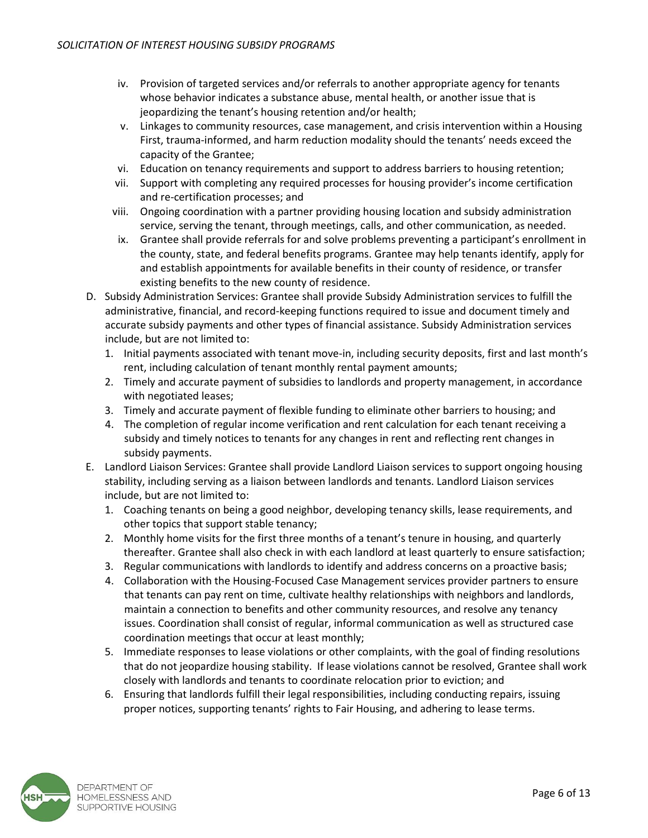- iv. Provision of targeted services and/or referrals to another appropriate agency for tenants whose behavior indicates a substance abuse, mental health, or another issue that is jeopardizing the tenant's housing retention and/or health;
- v. Linkages to community resources, case management, and crisis intervention within a Housing First, trauma-informed, and harm reduction modality should the tenants' needs exceed the capacity of the Grantee;
- vi. Education on tenancy requirements and support to address barriers to housing retention;
- vii. Support with completing any required processes for housing provider's income certification and re-certification processes; and
- viii. Ongoing coordination with a partner providing housing location and subsidy administration service, serving the tenant, through meetings, calls, and other communication, as needed.
- ix. Grantee shall provide referrals for and solve problems preventing a participant's enrollment in the county, state, and federal benefits programs. Grantee may help tenants identify, apply for and establish appointments for available benefits in their county of residence, or transfer existing benefits to the new county of residence.
- D. Subsidy Administration Services: Grantee shall provide Subsidy Administration services to fulfill the administrative, financial, and record-keeping functions required to issue and document timely and accurate subsidy payments and other types of financial assistance. Subsidy Administration services include, but are not limited to:
	- 1. Initial payments associated with tenant move-in, including security deposits, first and last month's rent, including calculation of tenant monthly rental payment amounts;
	- 2. Timely and accurate payment of subsidies to landlords and property management, in accordance with negotiated leases;
	- 3. Timely and accurate payment of flexible funding to eliminate other barriers to housing; and
	- 4. The completion of regular income verification and rent calculation for each tenant receiving a subsidy and timely notices to tenants for any changes in rent and reflecting rent changes in subsidy payments.
- E. Landlord Liaison Services: Grantee shall provide Landlord Liaison services to support ongoing housing stability, including serving as a liaison between landlords and tenants. Landlord Liaison services include, but are not limited to:
	- 1. Coaching tenants on being a good neighbor, developing tenancy skills, lease requirements, and other topics that support stable tenancy;
	- 2. Monthly home visits for the first three months of a tenant's tenure in housing, and quarterly thereafter. Grantee shall also check in with each landlord at least quarterly to ensure satisfaction;
	- 3. Regular communications with landlords to identify and address concerns on a proactive basis;
	- 4. Collaboration with the Housing-Focused Case Management services provider partners to ensure that tenants can pay rent on time, cultivate healthy relationships with neighbors and landlords, maintain a connection to benefits and other community resources, and resolve any tenancy issues. Coordination shall consist of regular, informal communication as well as structured case coordination meetings that occur at least monthly;
	- 5. Immediate responses to lease violations or other complaints, with the goal of finding resolutions that do not jeopardize housing stability. If lease violations cannot be resolved, Grantee shall work closely with landlords and tenants to coordinate relocation prior to eviction; and
	- 6. Ensuring that landlords fulfill their legal responsibilities, including conducting repairs, issuing proper notices, supporting tenants' rights to Fair Housing, and adhering to lease terms.

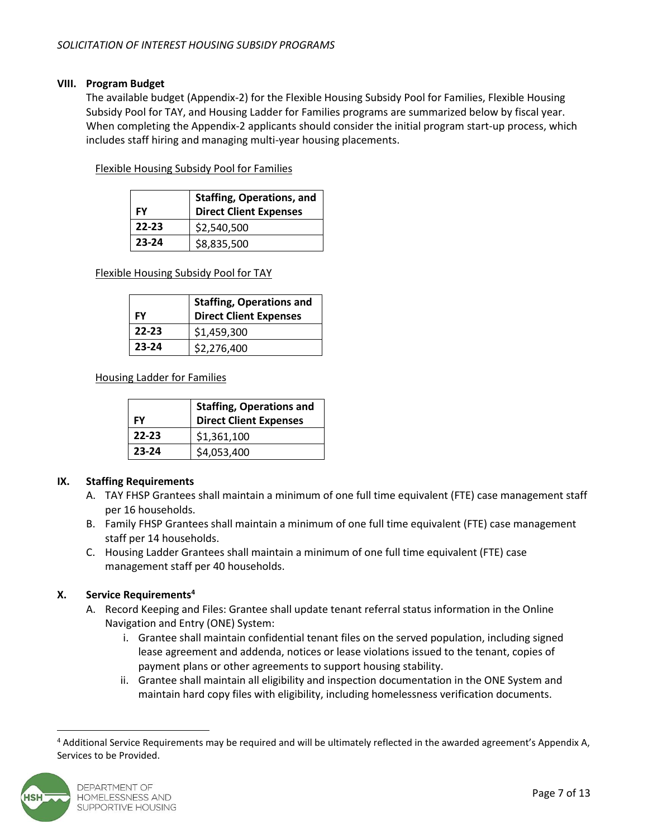# **VIII. Program Budget**

The available budget (Appendix-2) for the Flexible Housing Subsidy Pool for Families, Flexible Housing Subsidy Pool for TAY, and Housing Ladder for Families programs are summarized below by fiscal year. When completing the Appendix-2 applicants should consider the initial program start-up process, which includes staff hiring and managing multi-year housing placements.

Flexible Housing Subsidy Pool for Families

| FY        | Staffing, Operations, and<br><b>Direct Client Expenses</b> |
|-----------|------------------------------------------------------------|
| $22 - 23$ | \$2,540,500                                                |
| 23-24     | \$8,835,500                                                |

Flexible Housing Subsidy Pool for TAY

| FY        | <b>Staffing, Operations and</b><br><b>Direct Client Expenses</b> |
|-----------|------------------------------------------------------------------|
| $22 - 23$ | \$1,459,300                                                      |
| 23-24     | \$2,276,400                                                      |

Housing Ladder for Families

| FY        | <b>Staffing, Operations and</b><br><b>Direct Client Expenses</b> |  |  |
|-----------|------------------------------------------------------------------|--|--|
| $22 - 23$ | \$1,361,100                                                      |  |  |
| $23 - 24$ | \$4,053,400                                                      |  |  |

# **IX. Staffing Requirements**

- A. TAY FHSP Grantees shall maintain a minimum of one full time equivalent (FTE) case management staff per 16 households.
- B. Family FHSP Grantees shall maintain a minimum of one full time equivalent (FTE) case management staff per 14 households.
- C. Housing Ladder Grantees shall maintain a minimum of one full time equivalent (FTE) case management staff per 40 households.

# **X. Service Requirements<sup>4</sup>**

- A. Record Keeping and Files: Grantee shall update tenant referral status information in the Online Navigation and Entry (ONE) System:
	- i. Grantee shall maintain confidential tenant files on the served population, including signed lease agreement and addenda, notices or lease violations issued to the tenant, copies of payment plans or other agreements to support housing stability.
	- ii. Grantee shall maintain all eligibility and inspection documentation in the ONE System and maintain hard copy files with eligibility, including homelessness verification documents.

<sup>4</sup> Additional Service Requirements may be required and will be ultimately reflected in the awarded agreement's Appendix A, Services to be Provided.

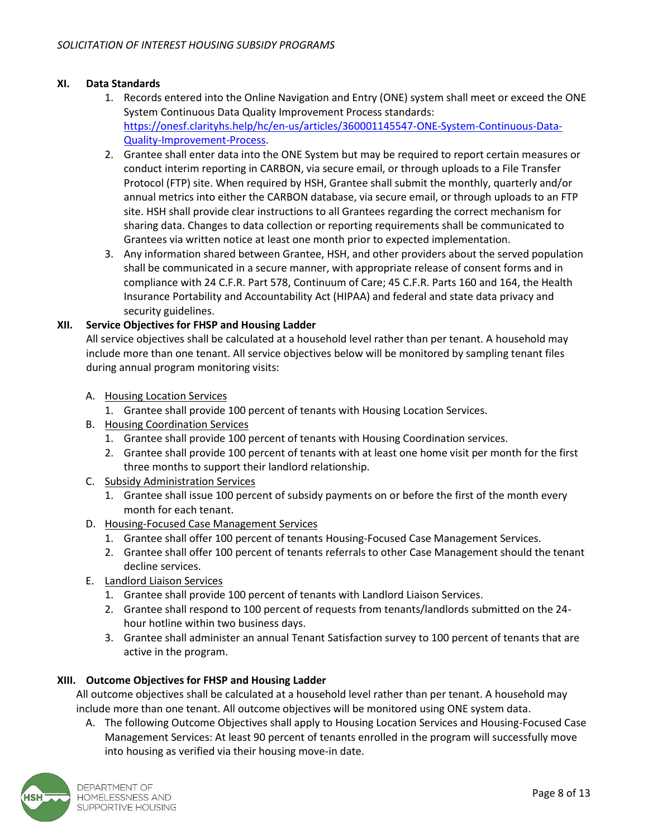# **XI. Data Standards**

- 1. Records entered into the Online Navigation and Entry (ONE) system shall meet or exceed the ONE System Continuous Data Quality Improvement Process standards: [https://onesf.clarityhs.help/hc/en-us/articles/360001145547-ONE-System-Continuous-Data-](https://onesf.clarityhs.help/hc/en-us/articles/360001145547-ONE-System-Continuous-Data-Quality-Improvement-Process)[Quality-Improvement-Process.](https://onesf.clarityhs.help/hc/en-us/articles/360001145547-ONE-System-Continuous-Data-Quality-Improvement-Process)
- 2. Grantee shall enter data into the ONE System but may be required to report certain measures or conduct interim reporting in CARBON, via secure email, or through uploads to a File Transfer Protocol (FTP) site. When required by HSH, Grantee shall submit the monthly, quarterly and/or annual metrics into either the CARBON database, via secure email, or through uploads to an FTP site. HSH shall provide clear instructions to all Grantees regarding the correct mechanism for sharing data. Changes to data collection or reporting requirements shall be communicated to Grantees via written notice at least one month prior to expected implementation.
- 3. Any information shared between Grantee, HSH, and other providers about the served population shall be communicated in a secure manner, with appropriate release of consent forms and in compliance with 24 C.F.R. Part 578, Continuum of Care; 45 C.F.R. Parts 160 and 164, the Health Insurance Portability and Accountability Act (HIPAA) and federal and state data privacy and security guidelines.

# **XII. Service Objectives for FHSP and Housing Ladder**

All service objectives shall be calculated at a household level rather than per tenant. A household may include more than one tenant. All service objectives below will be monitored by sampling tenant files during annual program monitoring visits:

- A. Housing Location Services
	- 1. Grantee shall provide 100 percent of tenants with Housing Location Services.
- B. Housing Coordination Services
	- 1. Grantee shall provide 100 percent of tenants with Housing Coordination services.
	- 2. Grantee shall provide 100 percent of tenants with at least one home visit per month for the first three months to support their landlord relationship.
- C. Subsidy Administration Services
	- 1. Grantee shall issue 100 percent of subsidy payments on or before the first of the month every month for each tenant.
- D. Housing-Focused Case Management Services
	- 1. Grantee shall offer 100 percent of tenants Housing-Focused Case Management Services.
	- 2. Grantee shall offer 100 percent of tenants referrals to other Case Management should the tenant decline services.
- E. Landlord Liaison Services
	- 1. Grantee shall provide 100 percent of tenants with Landlord Liaison Services.
	- 2. Grantee shall respond to 100 percent of requests from tenants/landlords submitted on the 24 hour hotline within two business days.
	- 3. Grantee shall administer an annual Tenant Satisfaction survey to 100 percent of tenants that are active in the program.

### **XIII. Outcome Objectives for FHSP and Housing Ladder**

All outcome objectives shall be calculated at a household level rather than per tenant. A household may include more than one tenant. All outcome objectives will be monitored using ONE system data.

A. The following Outcome Objectives shall apply to Housing Location Services and Housing-Focused Case Management Services: At least 90 percent of tenants enrolled in the program will successfully move into housing as verified via their housing move-in date.

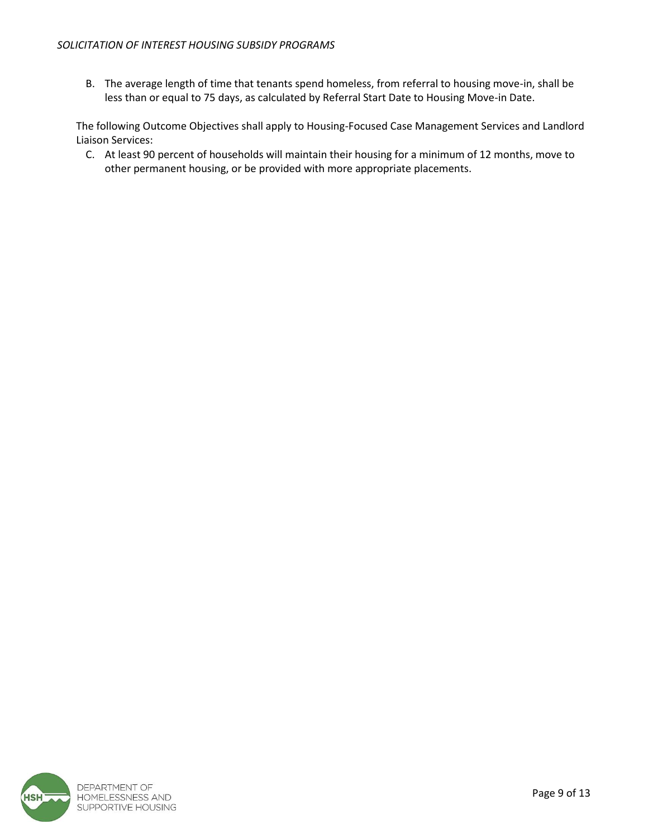B. The average length of time that tenants spend homeless, from referral to housing move-in, shall be less than or equal to 75 days, as calculated by Referral Start Date to Housing Move-in Date.

The following Outcome Objectives shall apply to Housing-Focused Case Management Services and Landlord Liaison Services:

C. At least 90 percent of households will maintain their housing for a minimum of 12 months, move to other permanent housing, or be provided with more appropriate placements.

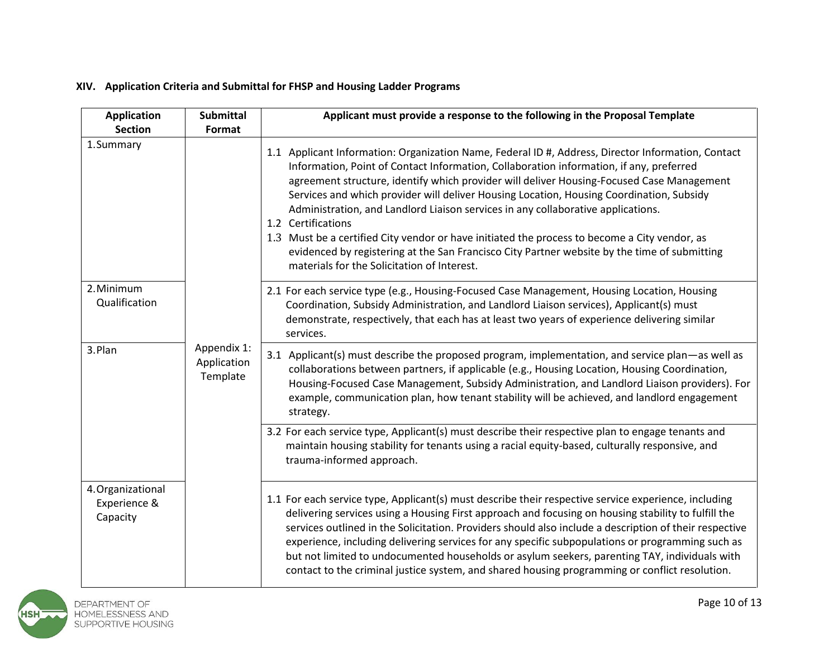# **XIV. Application Criteria and Submittal for FHSP and Housing Ladder Programs**

| <b>Application</b><br><b>Section</b>          | <b>Submittal</b><br>Format             | Applicant must provide a response to the following in the Proposal Template                                                                                                                                                                                                                                                                                                                                                                                                                                                                                                                                                                                                                                                                      |
|-----------------------------------------------|----------------------------------------|--------------------------------------------------------------------------------------------------------------------------------------------------------------------------------------------------------------------------------------------------------------------------------------------------------------------------------------------------------------------------------------------------------------------------------------------------------------------------------------------------------------------------------------------------------------------------------------------------------------------------------------------------------------------------------------------------------------------------------------------------|
| 1.Summary                                     |                                        | 1.1 Applicant Information: Organization Name, Federal ID #, Address, Director Information, Contact<br>Information, Point of Contact Information, Collaboration information, if any, preferred<br>agreement structure, identify which provider will deliver Housing-Focused Case Management<br>Services and which provider will deliver Housing Location, Housing Coordination, Subsidy<br>Administration, and Landlord Liaison services in any collaborative applications.<br>1.2 Certifications<br>1.3 Must be a certified City vendor or have initiated the process to become a City vendor, as<br>evidenced by registering at the San Francisco City Partner website by the time of submitting<br>materials for the Solicitation of Interest. |
| 2. Minimum<br>Qualification                   |                                        | 2.1 For each service type (e.g., Housing-Focused Case Management, Housing Location, Housing<br>Coordination, Subsidy Administration, and Landlord Liaison services), Applicant(s) must<br>demonstrate, respectively, that each has at least two years of experience delivering similar<br>services.                                                                                                                                                                                                                                                                                                                                                                                                                                              |
| 3.Plan                                        | Appendix 1:<br>Application<br>Template | 3.1 Applicant(s) must describe the proposed program, implementation, and service plan—as well as<br>collaborations between partners, if applicable (e.g., Housing Location, Housing Coordination,<br>Housing-Focused Case Management, Subsidy Administration, and Landlord Liaison providers). For<br>example, communication plan, how tenant stability will be achieved, and landlord engagement<br>strategy.                                                                                                                                                                                                                                                                                                                                   |
|                                               |                                        | 3.2 For each service type, Applicant(s) must describe their respective plan to engage tenants and<br>maintain housing stability for tenants using a racial equity-based, culturally responsive, and<br>trauma-informed approach.                                                                                                                                                                                                                                                                                                                                                                                                                                                                                                                 |
| 4. Organizational<br>Experience &<br>Capacity |                                        | 1.1 For each service type, Applicant(s) must describe their respective service experience, including<br>delivering services using a Housing First approach and focusing on housing stability to fulfill the<br>services outlined in the Solicitation. Providers should also include a description of their respective<br>experience, including delivering services for any specific subpopulations or programming such as<br>but not limited to undocumented households or asylum seekers, parenting TAY, individuals with<br>contact to the criminal justice system, and shared housing programming or conflict resolution.                                                                                                                     |

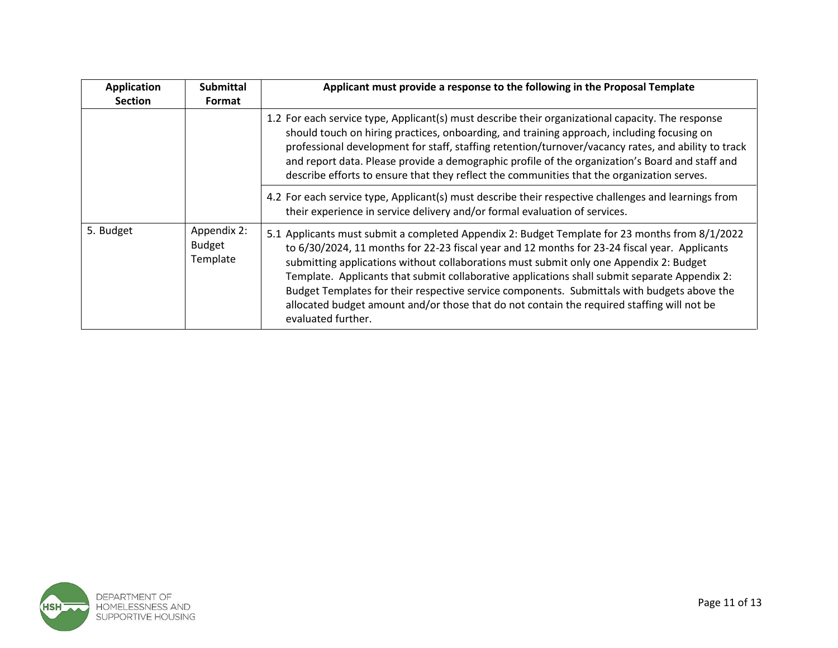| <b>Application</b><br><b>Section</b> | <b>Submittal</b><br>Format               | Applicant must provide a response to the following in the Proposal Template                                                                                                                                                                                                                                                                                                                                                                                                                                                                                                                                   |
|--------------------------------------|------------------------------------------|---------------------------------------------------------------------------------------------------------------------------------------------------------------------------------------------------------------------------------------------------------------------------------------------------------------------------------------------------------------------------------------------------------------------------------------------------------------------------------------------------------------------------------------------------------------------------------------------------------------|
|                                      |                                          | 1.2 For each service type, Applicant(s) must describe their organizational capacity. The response<br>should touch on hiring practices, onboarding, and training approach, including focusing on<br>professional development for staff, staffing retention/turnover/vacancy rates, and ability to track<br>and report data. Please provide a demographic profile of the organization's Board and staff and<br>describe efforts to ensure that they reflect the communities that the organization serves.                                                                                                       |
|                                      |                                          | 4.2 For each service type, Applicant(s) must describe their respective challenges and learnings from<br>their experience in service delivery and/or formal evaluation of services.                                                                                                                                                                                                                                                                                                                                                                                                                            |
| 5. Budget                            | Appendix 2:<br><b>Budget</b><br>Template | 5.1 Applicants must submit a completed Appendix 2: Budget Template for 23 months from 8/1/2022<br>to 6/30/2024, 11 months for 22-23 fiscal year and 12 months for 23-24 fiscal year. Applicants<br>submitting applications without collaborations must submit only one Appendix 2: Budget<br>Template. Applicants that submit collaborative applications shall submit separate Appendix 2:<br>Budget Templates for their respective service components. Submittals with budgets above the<br>allocated budget amount and/or those that do not contain the required staffing will not be<br>evaluated further. |

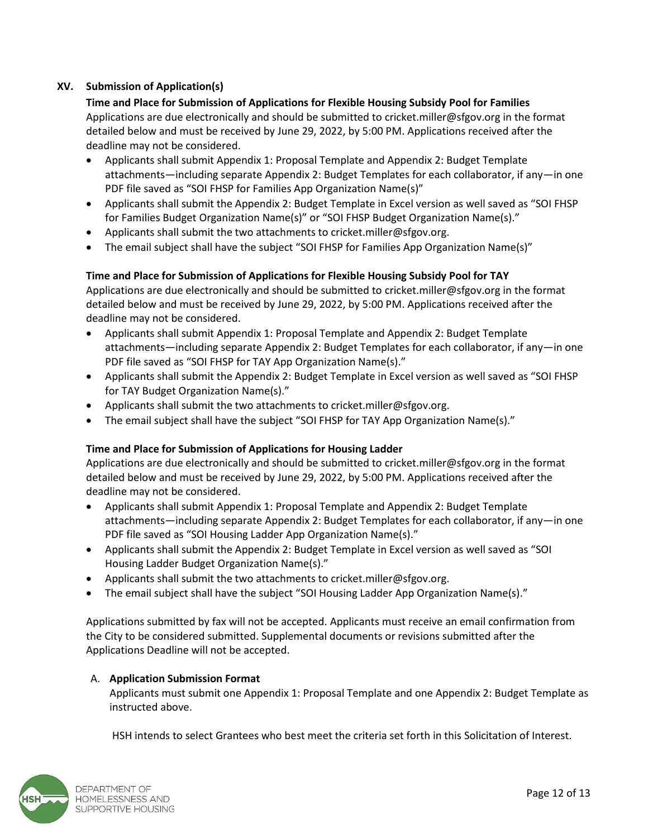# **XV. Submission of Application(s)**

**Time and Place for Submission of Applications for Flexible Housing Subsidy Pool for Families**  Applications are due electronically and should be submitted t[o cricket.miller@sfgov.org](mailto:cricket.miller@sfgov.org) in the format detailed below and must be received by June 29, 2022, by 5:00 PM. Applications received after the deadline may not be considered.

- Applicants shall submit Appendix 1: Proposal Template and Appendix 2: Budget Template attachments—including separate Appendix 2: Budget Templates for each collaborator, if any—in one PDF file saved as "SOI FHSP for Families App Organization Name(s)"
- Applicants shall submit the Appendix 2: Budget Template in Excel version as well saved as "SOI FHSP for Families Budget Organization Name(s)" or "SOI FHSP Budget Organization Name(s)."
- Applicants shall submit the two attachments to cricket.miller@sfgov.org.
- The email subject shall have the subject "SOI FHSP for Families App Organization Name(s)"

# **Time and Place for Submission of Applications for Flexible Housing Subsidy Pool for TAY**

Applications are due electronically and should be submitted to [cricket.miller@sfgov.org](mailto:cricket.miller@sfgov.org) in the format detailed below and must be received by June 29, 2022, by 5:00 PM. Applications received after the deadline may not be considered.

- Applicants shall submit Appendix 1: Proposal Template and Appendix 2: Budget Template attachments—including separate Appendix 2: Budget Templates for each collaborator, if any—in one PDF file saved as "SOI FHSP for TAY App Organization Name(s)."
- Applicants shall submit the Appendix 2: Budget Template in Excel version as well saved as "SOI FHSP for TAY Budget Organization Name(s)."
- Applicants shall submit the two attachments to cricket.miller@sfgov.org.
- The email subject shall have the subject "SOI FHSP for TAY App Organization Name(s)."

### **Time and Place for Submission of Applications for Housing Ladder**

Applications are due electronically and should be submitted to [cricket.miller@sfgov.org](mailto:cricket.miller@sfgov.org) in the format detailed below and must be received by June 29, 2022, by 5:00 PM. Applications received after the deadline may not be considered.

- Applicants shall submit Appendix 1: Proposal Template and Appendix 2: Budget Template attachments—including separate Appendix 2: Budget Templates for each collaborator, if any—in one PDF file saved as "SOI Housing Ladder App Organization Name(s)."
- Applicants shall submit the Appendix 2: Budget Template in Excel version as well saved as "SOI Housing Ladder Budget Organization Name(s)."
- Applicants shall submit the two attachments to cricket.miller@sfgov.org.
- The email subject shall have the subject "SOI Housing Ladder App Organization Name(s)."

Applications submitted by fax will not be accepted. Applicants must receive an email confirmation from the City to be considered submitted. Supplemental documents or revisions submitted after the Applications Deadline will not be accepted.

### A. **Application Submission Format**

Applicants must submit one Appendix 1: Proposal Template and one Appendix 2: Budget Template as instructed above.

HSH intends to select Grantees who best meet the criteria set forth in this Solicitation of Interest.